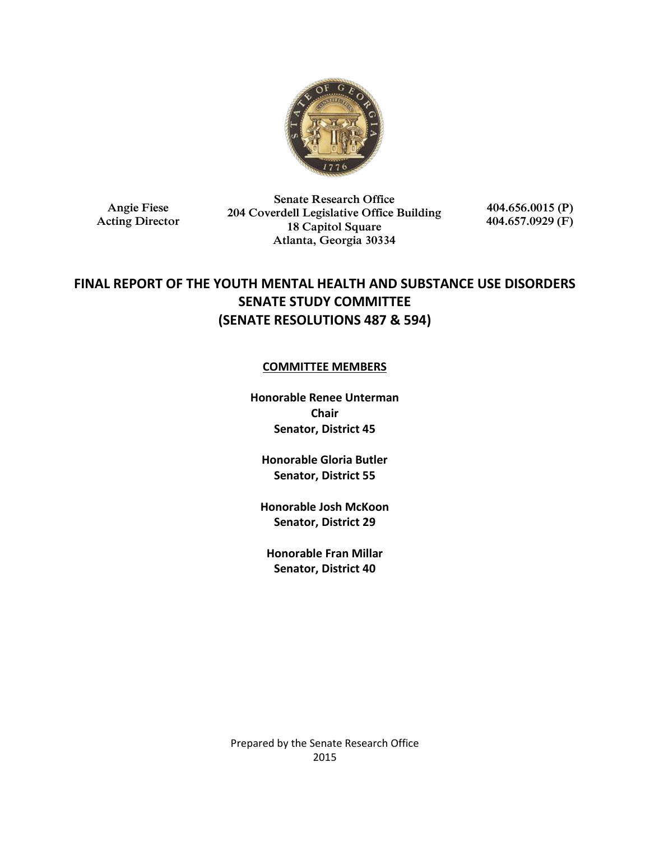

**Angie Fiese Acting Director**

**Senate Research Office 204 Coverdell Legislative Office Building 18 Capitol Square Atlanta, Georgia 30334**

**404.656.0015 (P) 404.657.0929 (F)**

# **FINAL REPORT OF THE YOUTH MENTAL HEALTH AND SUBSTANCE USE DISORDERS SENATE STUDY COMMITTEE (SENATE RESOLUTIONS 487 & 594)**

## **COMMITTEE MEMBERS**

**Honorable Renee Unterman Chair Senator, District 45**

**Honorable Gloria Butler Senator, District 55**

**Honorable Josh McKoon Senator, District 29**

**Honorable Fran Millar Senator, District 40**

Prepared by the Senate Research Office 2015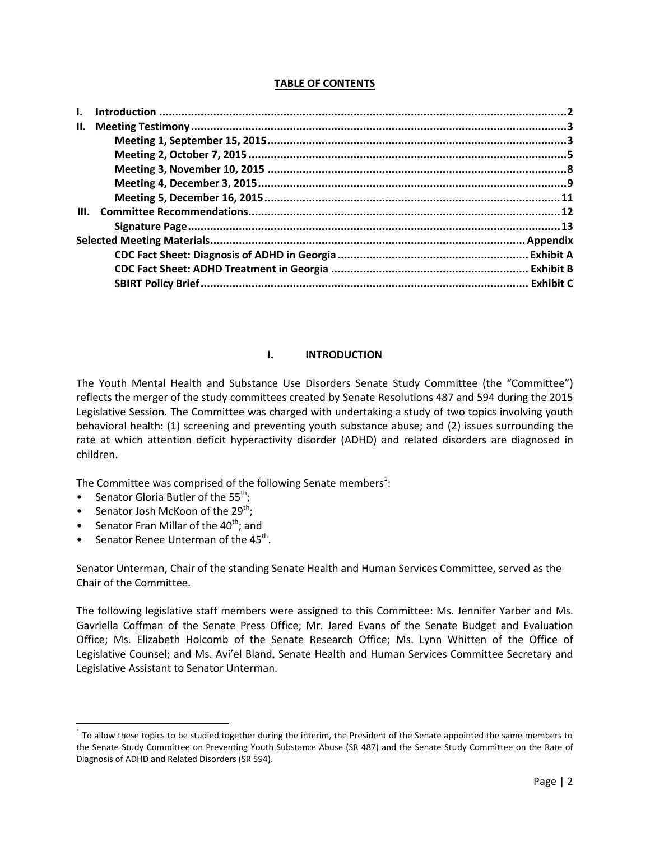## **TABLE OF CONTENTS**

| $\mathbf{L}$ |  |  |
|--------------|--|--|
| Н.           |  |  |
|              |  |  |
|              |  |  |
|              |  |  |
|              |  |  |
|              |  |  |
| III.         |  |  |
|              |  |  |
|              |  |  |
|              |  |  |
|              |  |  |
|              |  |  |

## **I. INTRODUCTION**

The Youth Mental Health and Substance Use Disorders Senate Study Committee (the "Committee") reflects the merger of the study committees created by Senate Resolutions 487 and 594 during the 2015 Legislative Session. The Committee was charged with undertaking a study of two topics involving youth behavioral health: (1) screening and preventing youth substance abuse; and (2) issues surrounding the rate at which attention deficit hyperactivity disorder (ADHD) and related disorders are diagnosed in children.

The Committee was comprised of the following Senate members<sup>1</sup>:

- Senator Gloria Butler of the  $55^{th}$ ;
- Senator Josh McKoon of the  $29^{th}$ ;

l

- Senator Fran Millar of the  $40^{th}$ ; and
- Senator Renee Unterman of the  $45^{th}$ .

Senator Unterman, Chair of the standing Senate Health and Human Services Committee, served as the Chair of the Committee.

The following legislative staff members were assigned to this Committee: Ms. Jennifer Yarber and Ms. Gavriella Coffman of the Senate Press Office; Mr. Jared Evans of the Senate Budget and Evaluation Office; Ms. Elizabeth Holcomb of the Senate Research Office; Ms. Lynn Whitten of the Office of Legislative Counsel; and Ms. Avi'el Bland, Senate Health and Human Services Committee Secretary and Legislative Assistant to Senator Unterman.

 $1$  To allow these topics to be studied together during the interim, the President of the Senate appointed the same members to the Senate Study Committee on Preventing Youth Substance Abuse (SR 487) and the Senate Study Committee on the Rate of Diagnosis of ADHD and Related Disorders (SR 594).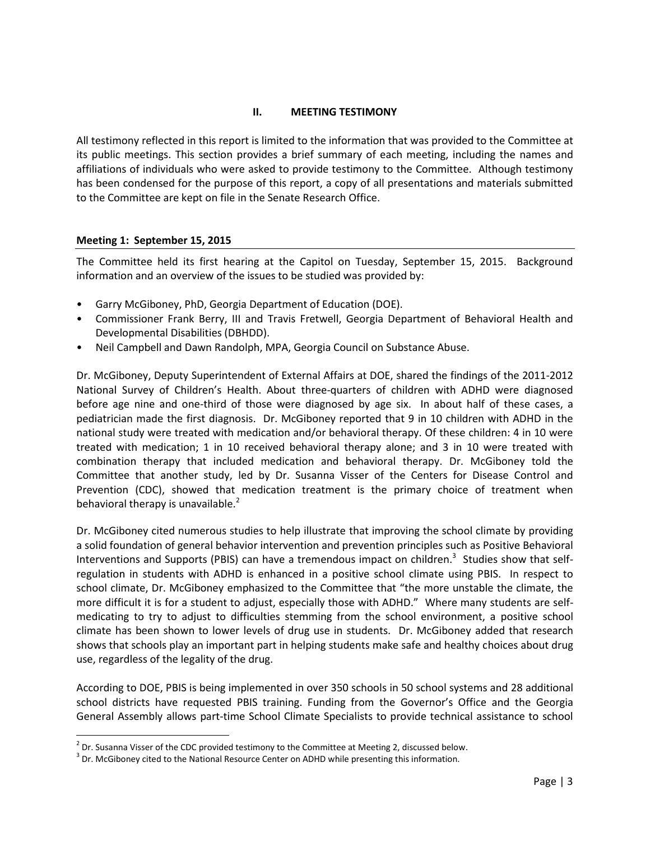## **II. MEETING TESTIMONY**

All testimony reflected in this report is limited to the information that was provided to the Committee at its public meetings. This section provides a brief summary of each meeting, including the names and affiliations of individuals who were asked to provide testimony to the Committee. Although testimony has been condensed for the purpose of this report, a copy of all presentations and materials submitted to the Committee are kept on file in the Senate Research Office.

## **Meeting 1: September 15, 2015**

 $\overline{\phantom{a}}$ 

The Committee held its first hearing at the Capitol on Tuesday, September 15, 2015. Background information and an overview of the issues to be studied was provided by:

- Garry McGiboney, PhD, Georgia Department of Education (DOE).
- Commissioner Frank Berry, III and Travis Fretwell, Georgia Department of Behavioral Health and Developmental Disabilities (DBHDD).
- Neil Campbell and Dawn Randolph, MPA, Georgia Council on Substance Abuse.

Dr. McGiboney, Deputy Superintendent of External Affairs at DOE, shared the findings of the 2011-2012 National Survey of Children's Health. About three-quarters of children with ADHD were diagnosed before age nine and one-third of those were diagnosed by age six. In about half of these cases, a pediatrician made the first diagnosis. Dr. McGiboney reported that 9 in 10 children with ADHD in the national study were treated with medication and/or behavioral therapy. Of these children: 4 in 10 were treated with medication; 1 in 10 received behavioral therapy alone; and 3 in 10 were treated with combination therapy that included medication and behavioral therapy. Dr. McGiboney told the Committee that another study, led by Dr. Susanna Visser of the Centers for Disease Control and Prevention (CDC), showed that medication treatment is the primary choice of treatment when behavioral therapy is unavailable. $<sup>2</sup>$ </sup>

Dr. McGiboney cited numerous studies to help illustrate that improving the school climate by providing a solid foundation of general behavior intervention and prevention principles such as Positive Behavioral Interventions and Supports (PBIS) can have a tremendous impact on children.<sup>3</sup> Studies show that selfregulation in students with ADHD is enhanced in a positive school climate using PBIS. In respect to school climate, Dr. McGiboney emphasized to the Committee that "the more unstable the climate, the more difficult it is for a student to adjust, especially those with ADHD." Where many students are selfmedicating to try to adjust to difficulties stemming from the school environment, a positive school climate has been shown to lower levels of drug use in students. Dr. McGiboney added that research shows that schools play an important part in helping students make safe and healthy choices about drug use, regardless of the legality of the drug.

According to DOE, PBIS is being implemented in over 350 schools in 50 school systems and 28 additional school districts have requested PBIS training. Funding from the Governor's Office and the Georgia General Assembly allows part-time School Climate Specialists to provide technical assistance to school

 $^2$  Dr. Susanna Visser of the CDC provided testimony to the Committee at Meeting 2, discussed below.

 $3$  Dr. McGiboney cited to the National Resource Center on ADHD while presenting this information.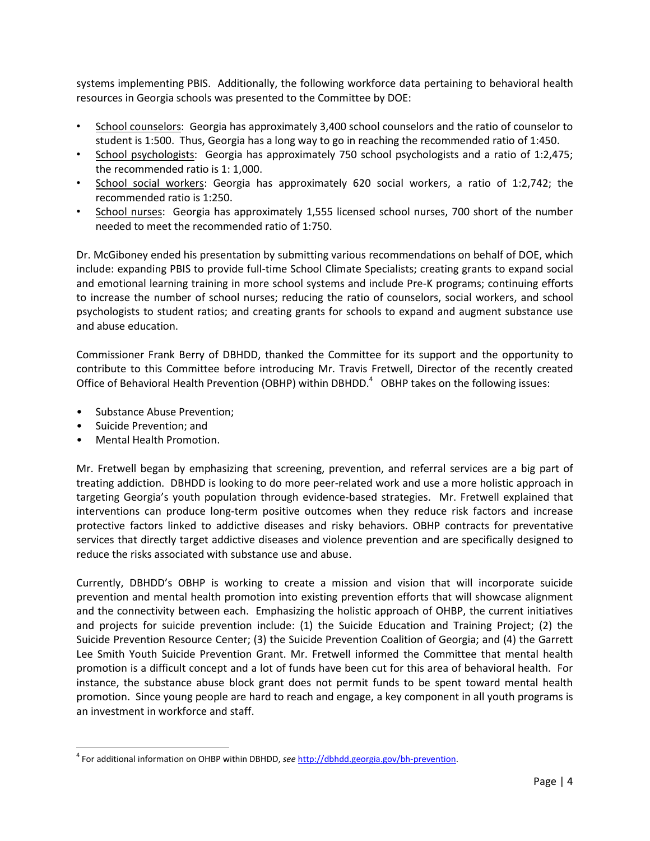systems implementing PBIS. Additionally, the following workforce data pertaining to behavioral health resources in Georgia schools was presented to the Committee by DOE:

- School counselors: Georgia has approximately 3,400 school counselors and the ratio of counselor to student is 1:500. Thus, Georgia has a long way to go in reaching the recommended ratio of 1:450.
- School psychologists: Georgia has approximately 750 school psychologists and a ratio of 1:2,475; the recommended ratio is 1: 1,000.
- School social workers: Georgia has approximately 620 social workers, a ratio of 1:2,742; the recommended ratio is 1:250.
- School nurses: Georgia has approximately 1,555 licensed school nurses, 700 short of the number needed to meet the recommended ratio of 1:750.

Dr. McGiboney ended his presentation by submitting various recommendations on behalf of DOE, which include: expanding PBIS to provide full-time School Climate Specialists; creating grants to expand social and emotional learning training in more school systems and include Pre-K programs; continuing efforts to increase the number of school nurses; reducing the ratio of counselors, social workers, and school psychologists to student ratios; and creating grants for schools to expand and augment substance use and abuse education.

Commissioner Frank Berry of DBHDD, thanked the Committee for its support and the opportunity to contribute to this Committee before introducing Mr. Travis Fretwell, Director of the recently created Office of Behavioral Health Prevention (OBHP) within DBHDD. $4$  OBHP takes on the following issues:

- Substance Abuse Prevention;
- Suicide Prevention; and

 $\overline{a}$ 

• Mental Health Promotion.

Mr. Fretwell began by emphasizing that screening, prevention, and referral services are a big part of treating addiction. DBHDD is looking to do more peer-related work and use a more holistic approach in targeting Georgia's youth population through evidence-based strategies. Mr. Fretwell explained that interventions can produce long-term positive outcomes when they reduce risk factors and increase protective factors linked to addictive diseases and risky behaviors. OBHP contracts for preventative services that directly target addictive diseases and violence prevention and are specifically designed to reduce the risks associated with substance use and abuse.

Currently, DBHDD's OBHP is working to create a mission and vision that will incorporate suicide prevention and mental health promotion into existing prevention efforts that will showcase alignment and the connectivity between each. Emphasizing the holistic approach of OHBP, the current initiatives and projects for suicide prevention include: (1) the Suicide Education and Training Project; (2) the Suicide Prevention Resource Center; (3) the Suicide Prevention Coalition of Georgia; and (4) the Garrett Lee Smith Youth Suicide Prevention Grant. Mr. Fretwell informed the Committee that mental health promotion is a difficult concept and a lot of funds have been cut for this area of behavioral health. For instance, the substance abuse block grant does not permit funds to be spent toward mental health promotion. Since young people are hard to reach and engage, a key component in all youth programs is an investment in workforce and staff.

<sup>4</sup> For additional information on OHBP within DBHDD, *see* [http://dbhdd.georgia.gov/bh-prevention.](http://dbhdd.georgia.gov/bh-prevention)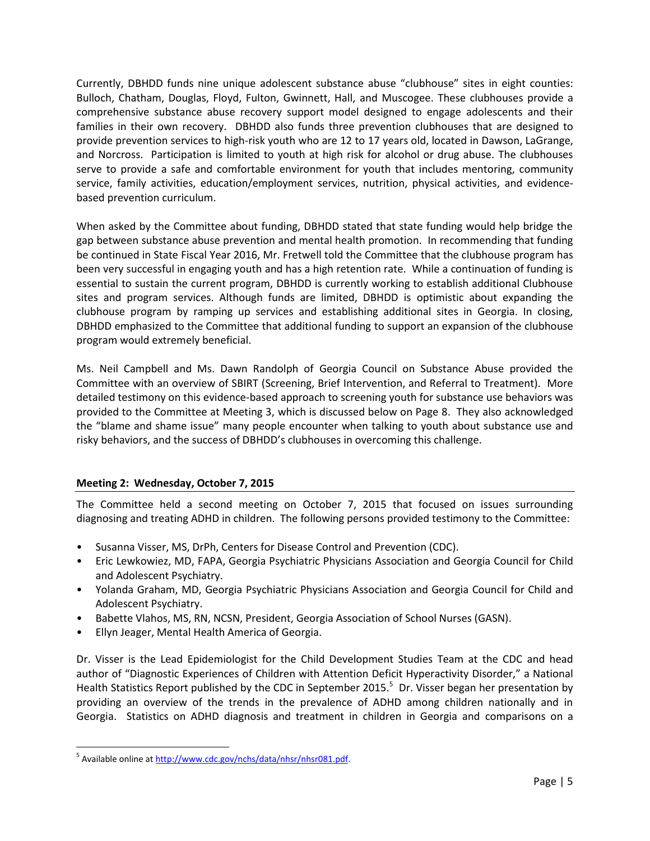Currently, DBHDD funds nine unique adolescent substance abuse "clubhouse" sites in eight counties: Bulloch, Chatham, Douglas, Floyd, Fulton, Gwinnett, Hall, and Muscogee. These clubhouses provide a comprehensive substance abuse recovery support model designed to engage adolescents and their families in their own recovery. DBHDD also funds three prevention clubhouses that are designed to provide prevention services to high-risk youth who are 12 to 17 years old, located in Dawson, LaGrange, and Norcross. Participation is limited to youth at high risk for alcohol or drug abuse. The clubhouses serve to provide a safe and comfortable environment for youth that includes mentoring, community service, family activities, education/employment services, nutrition, physical activities, and evidencebased prevention curriculum.

When asked by the Committee about funding, DBHDD stated that state funding would help bridge the gap between substance abuse prevention and mental health promotion. In recommending that funding be continued in State Fiscal Year 2016, Mr. Fretwell told the Committee that the clubhouse program has been very successful in engaging youth and has a high retention rate. While a continuation of funding is essential to sustain the current program, DBHDD is currently working to establish additional Clubhouse sites and program services. Although funds are limited, DBHDD is optimistic about expanding the clubhouse program by ramping up services and establishing additional sites in Georgia. In closing, DBHDD emphasized to the Committee that additional funding to support an expansion of the clubhouse program would extremely beneficial.

Ms. Neil Campbell and Ms. Dawn Randolph of Georgia Council on Substance Abuse provided the Committee with an overview of SBIRT (Screening, Brief Intervention, and Referral to Treatment). More detailed testimony on this evidence-based approach to screening youth for substance use behaviors was provided to the Committee at Meeting 3, which is discussed below on Page 8. They also acknowledged the "blame and shame issue" many people encounter when talking to youth about substance use and risky behaviors, and the success of DBHDD's clubhouses in overcoming this challenge.

# **Meeting 2: Wednesday, October 7, 2015**

The Committee held a second meeting on October 7, 2015 that focused on issues surrounding diagnosing and treating ADHD in children. The following persons provided testimony to the Committee:

- Susanna Visser, MS, DrPh, Centers for Disease Control and Prevention (CDC).
- Eric Lewkowiez, MD, FAPA, Georgia Psychiatric Physicians Association and Georgia Council for Child and Adolescent Psychiatry.
- Yolanda Graham, MD, Georgia Psychiatric Physicians Association and Georgia Council for Child and Adolescent Psychiatry.
- Babette Vlahos, MS, RN, NCSN, President, Georgia Association of School Nurses (GASN).
- Ellyn Jeager, Mental Health America of Georgia.

Dr. Visser is the Lead Epidemiologist for the Child Development Studies Team at the CDC and head author of "Diagnostic Experiences of Children with Attention Deficit Hyperactivity Disorder," a National Health Statistics Report published by the CDC in September 2015.<sup>5</sup> Dr. Visser began her presentation by providing an overview of the trends in the prevalence of ADHD among children nationally and in Georgia. Statistics on ADHD diagnosis and treatment in children in Georgia and comparisons on a

 $\overline{a}$ 

<sup>&</sup>lt;sup>5</sup> Available online a[t http://www.cdc.gov/nchs/data/nhsr/nhsr081.pdf.](http://www.cdc.gov/nchs/data/nhsr/nhsr081.pdf)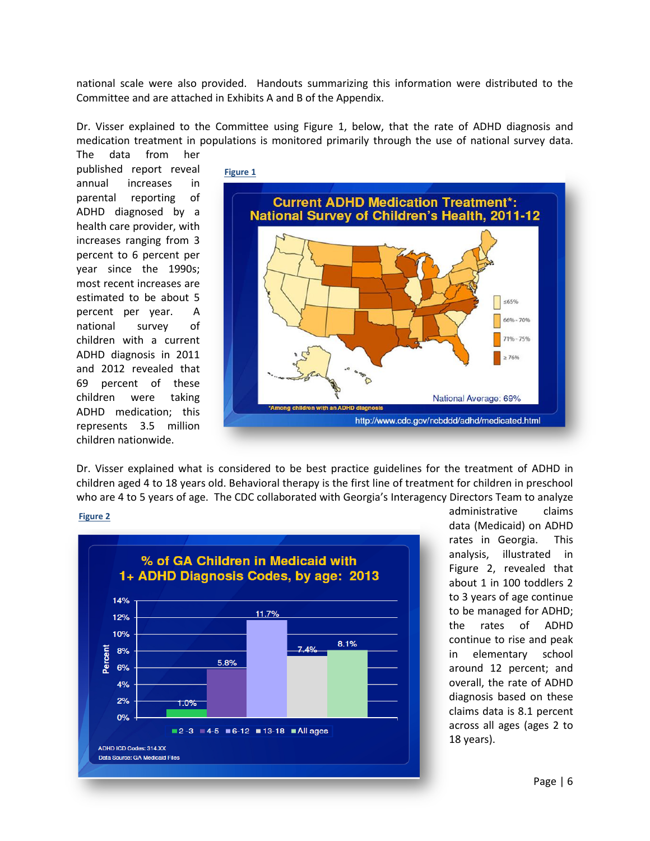national scale were also provided. Handouts summarizing this information were distributed to the Committee and are attached in Exhibits A and B of the Appendix.

Dr. Visser explained to the Committee using Figure 1, below, that the rate of ADHD diagnosis and medication treatment in populations is monitored primarily through the use of national survey data.

The data from her published report reveal annual increases in parental reporting of ADHD diagnosed by a health care provider, with increases ranging from 3 percent to 6 percent per year since the 1990s; most recent increases are estimated to be about 5 percent per year. A national survey of children with a current ADHD diagnosis in 2011 and 2012 revealed that 69 percent of these children were taking ADHD medication; this represents 3.5 million children nationwide.



Dr. Visser explained what is considered to be best practice guidelines for the treatment of ADHD in children aged 4 to 18 years old. Behavioral therapy is the first line of treatment for children in preschool who are 4 to 5 years of age. The CDC collaborated with Georgia's Interagency Directors Team to analyze

#### **Figure 2**



administrative claims data (Medicaid) on ADHD rates in Georgia. This analysis, illustrated in Figure 2, revealed that about 1 in 100 toddlers 2 to 3 years of age continue to be managed for ADHD; the rates of ADHD continue to rise and peak in elementary school around 12 percent; and overall, the rate of ADHD diagnosis based on these claims data is 8.1 percent across all ages (ages 2 to 18 years).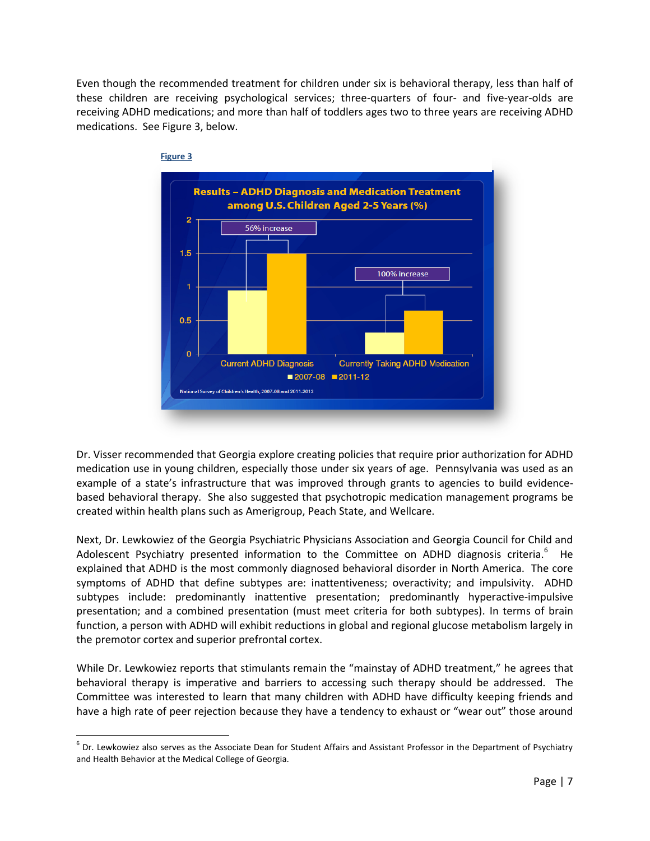Even though the recommended treatment for children under six is behavioral therapy, less than half of these children are receiving psychological services; three-quarters of four- and five-year-olds are receiving ADHD medications; and more than half of toddlers ages two to three years are receiving ADHD medications. See Figure 3, below.



Dr. Visser recommended that Georgia explore creating policies that require prior authorization for ADHD medication use in young children, especially those under six years of age. Pennsylvania was used as an example of a state's infrastructure that was improved through grants to agencies to build evidencebased behavioral therapy. She also suggested that psychotropic medication management programs be created within health plans such as Amerigroup, Peach State, and Wellcare.

Next, Dr. Lewkowiez of the Georgia Psychiatric Physicians Association and Georgia Council for Child and Adolescent Psychiatry presented information to the Committee on ADHD diagnosis criteria.<sup>6</sup> He explained that ADHD is the most commonly diagnosed behavioral disorder in North America. The core symptoms of ADHD that define subtypes are: inattentiveness; overactivity; and impulsivity. ADHD subtypes include: predominantly inattentive presentation; predominantly hyperactive-impulsive presentation; and a combined presentation (must meet criteria for both subtypes). In terms of brain function, a person with ADHD will exhibit reductions in global and regional glucose metabolism largely in the premotor cortex and superior prefrontal cortex.

While Dr. Lewkowiez reports that stimulants remain the "mainstay of ADHD treatment," he agrees that behavioral therapy is imperative and barriers to accessing such therapy should be addressed. The Committee was interested to learn that many children with ADHD have difficulty keeping friends and have a high rate of peer rejection because they have a tendency to exhaust or "wear out" those around

 $\overline{\phantom{a}}$ 

 $^6$  Dr. Lewkowiez also serves as the Associate Dean for Student Affairs and Assistant Professor in the Department of Psychiatry and Health Behavior at the Medical College of Georgia.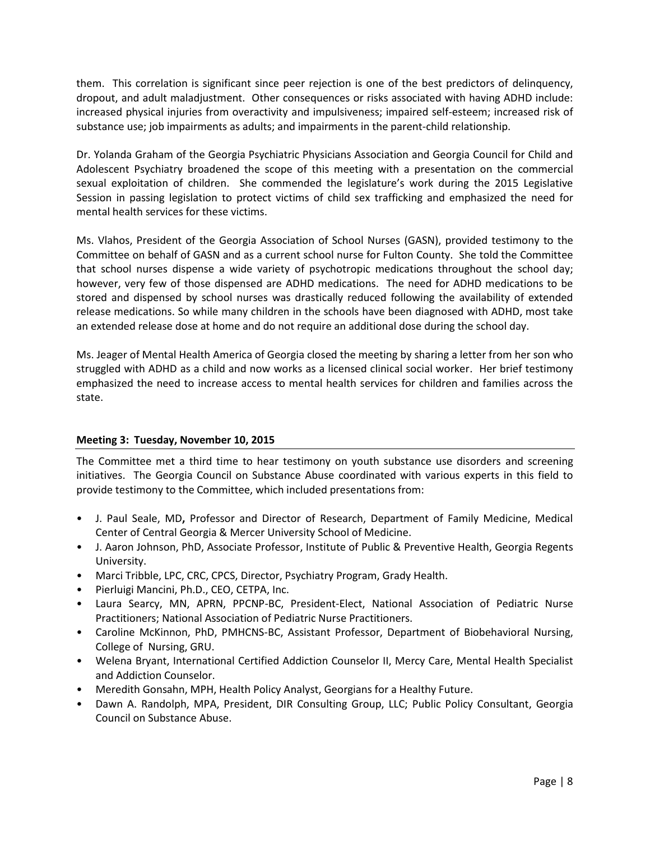them. This correlation is significant since peer rejection is one of the best predictors of delinquency, dropout, and adult maladjustment. Other consequences or risks associated with having ADHD include: increased physical injuries from overactivity and impulsiveness; impaired self-esteem; increased risk of substance use; job impairments as adults; and impairments in the parent-child relationship.

Dr. Yolanda Graham of the Georgia Psychiatric Physicians Association and Georgia Council for Child and Adolescent Psychiatry broadened the scope of this meeting with a presentation on the commercial sexual exploitation of children. She commended the legislature's work during the 2015 Legislative Session in passing legislation to protect victims of child sex trafficking and emphasized the need for mental health services for these victims.

Ms. Vlahos, President of the Georgia Association of School Nurses (GASN), provided testimony to the Committee on behalf of GASN and as a current school nurse for Fulton County. She told the Committee that school nurses dispense a wide variety of psychotropic medications throughout the school day; however, very few of those dispensed are ADHD medications. The need for ADHD medications to be stored and dispensed by school nurses was drastically reduced following the availability of extended release medications. So while many children in the schools have been diagnosed with ADHD, most take an extended release dose at home and do not require an additional dose during the school day.

Ms. Jeager of Mental Health America of Georgia closed the meeting by sharing a letter from her son who struggled with ADHD as a child and now works as a licensed clinical social worker. Her brief testimony emphasized the need to increase access to mental health services for children and families across the state.

# **Meeting 3: Tuesday, November 10, 2015**

The Committee met a third time to hear testimony on youth substance use disorders and screening initiatives. The Georgia Council on Substance Abuse coordinated with various experts in this field to provide testimony to the Committee, which included presentations from:

- J. Paul Seale, MD**,** Professor and Director of Research, Department of Family Medicine, Medical Center of Central Georgia & Mercer University School of Medicine.
- J. Aaron Johnson, PhD, Associate Professor, Institute of Public & Preventive Health, Georgia Regents University.
- Marci Tribble, LPC, CRC, CPCS, Director, Psychiatry Program, Grady Health.
- Pierluigi Mancini, Ph.D., CEO, CETPA, Inc.
- Laura Searcy, MN, APRN, PPCNP-BC, President-Elect, National Association of Pediatric Nurse Practitioners; National Association of Pediatric Nurse Practitioners.
- Caroline McKinnon, PhD, PMHCNS-BC, Assistant Professor, Department of Biobehavioral Nursing, College of Nursing, GRU.
- Welena Bryant, International Certified Addiction Counselor II, Mercy Care, Mental Health Specialist and Addiction Counselor.
- Meredith Gonsahn, MPH, Health Policy Analyst, Georgians for a Healthy Future.
- Dawn A. Randolph, MPA, President, DIR Consulting Group, LLC; Public Policy Consultant, Georgia Council on Substance Abuse.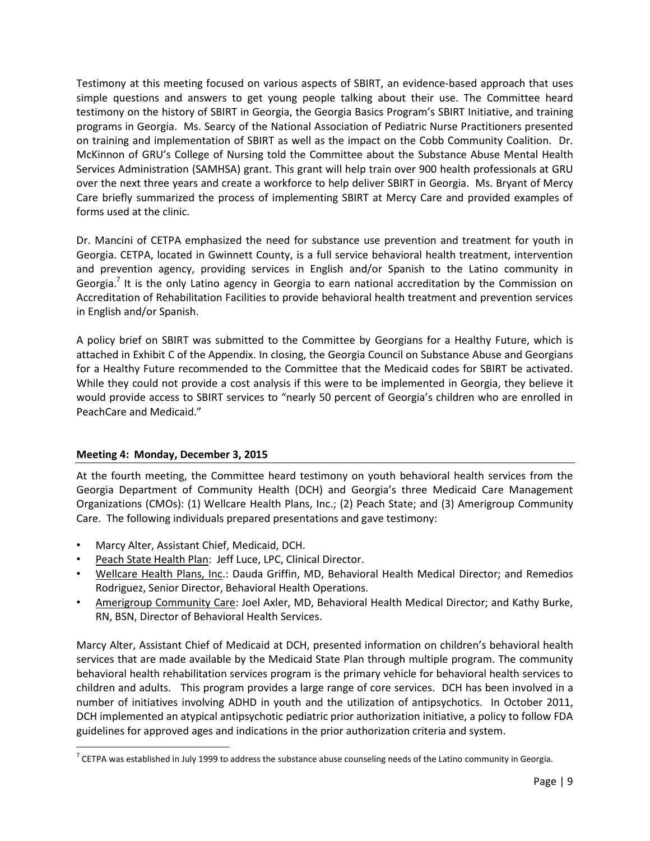Testimony at this meeting focused on various aspects of SBIRT, an evidence-based approach that uses simple questions and answers to get young people talking about their use. The Committee heard testimony on the history of SBIRT in Georgia, the Georgia Basics Program's SBIRT Initiative, and training programs in Georgia. Ms. Searcy of the National Association of Pediatric Nurse Practitioners presented on training and implementation of SBIRT as well as the impact on the Cobb Community Coalition. Dr. McKinnon of GRU's College of Nursing told the Committee about the Substance Abuse Mental Health Services Administration (SAMHSA) grant. This grant will help train over 900 health professionals at GRU over the next three years and create a workforce to help deliver SBIRT in Georgia. Ms. Bryant of Mercy Care briefly summarized the process of implementing SBIRT at Mercy Care and provided examples of forms used at the clinic.

Dr. Mancini of CETPA emphasized the need for substance use prevention and treatment for youth in Georgia. CETPA, located in Gwinnett County, is a full service behavioral health treatment, intervention and prevention agency, providing services in English and/or Spanish to the Latino community in Georgia.<sup>7</sup> It is the only Latino agency in Georgia to earn national accreditation by the Commission on Accreditation of Rehabilitation Facilities to provide behavioral health treatment and prevention services in English and/or Spanish.

A policy brief on SBIRT was submitted to the Committee by Georgians for a Healthy Future, which is attached in Exhibit C of the Appendix. In closing, the Georgia Council on Substance Abuse and Georgians for a Healthy Future recommended to the Committee that the Medicaid codes for SBIRT be activated. While they could not provide a cost analysis if this were to be implemented in Georgia, they believe it would provide access to SBIRT services to "nearly 50 percent of Georgia's children who are enrolled in PeachCare and Medicaid."

## **Meeting 4: Monday, December 3, 2015**

 $\overline{a}$ 

At the fourth meeting, the Committee heard testimony on youth behavioral health services from the Georgia Department of Community Health (DCH) and Georgia's three Medicaid Care Management Organizations (CMOs): (1) Wellcare Health Plans, Inc.; (2) Peach State; and (3) Amerigroup Community Care. The following individuals prepared presentations and gave testimony:

- Marcy Alter, Assistant Chief, Medicaid, DCH.
- Peach State Health Plan: Jeff Luce, LPC, Clinical Director.
- Wellcare Health Plans, Inc.: Dauda Griffin, MD, Behavioral Health Medical Director; and Remedios Rodriguez, Senior Director, Behavioral Health Operations.
- Amerigroup Community Care: Joel Axler, MD, Behavioral Health Medical Director; and Kathy Burke, RN, BSN, Director of Behavioral Health Services.

Marcy Alter, Assistant Chief of Medicaid at DCH, presented information on children's behavioral health services that are made available by the Medicaid State Plan through multiple program. The community behavioral health rehabilitation services program is the primary vehicle for behavioral health services to children and adults. This program provides a large range of core services. DCH has been involved in a number of initiatives involving ADHD in youth and the utilization of antipsychotics. In October 2011, DCH implemented an atypical antipsychotic pediatric prior authorization initiative, a policy to follow FDA guidelines for approved ages and indications in the prior authorization criteria and system.

 $^7$  CETPA was established in July 1999 to address the substance abuse counseling needs of the Latino community in Georgia.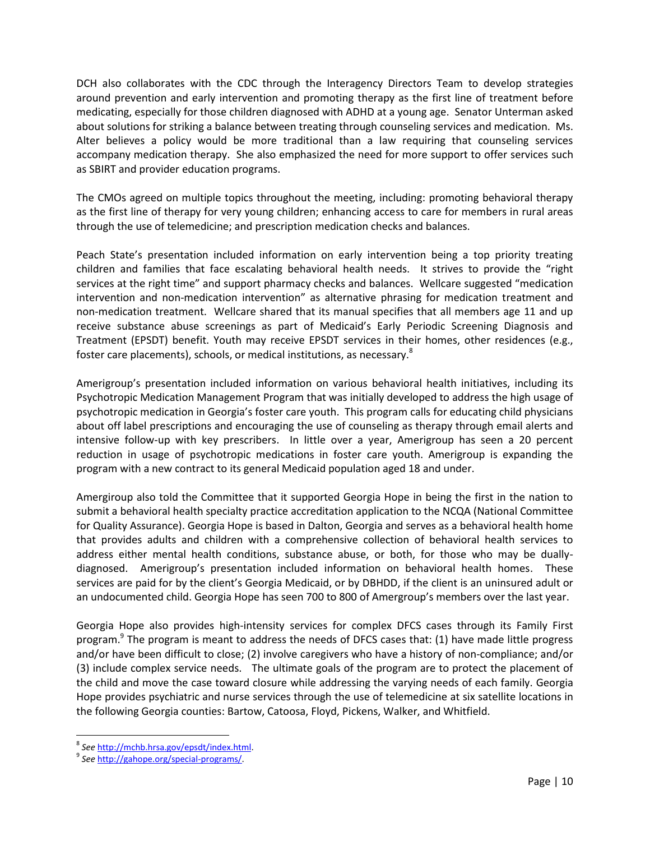DCH also collaborates with the CDC through the Interagency Directors Team to develop strategies around prevention and early intervention and promoting therapy as the first line of treatment before medicating, especially for those children diagnosed with ADHD at a young age. Senator Unterman asked about solutions for striking a balance between treating through counseling services and medication. Ms. Alter believes a policy would be more traditional than a law requiring that counseling services accompany medication therapy. She also emphasized the need for more support to offer services such as SBIRT and provider education programs.

The CMOs agreed on multiple topics throughout the meeting, including: promoting behavioral therapy as the first line of therapy for very young children; enhancing access to care for members in rural areas through the use of telemedicine; and prescription medication checks and balances.

Peach State's presentation included information on early intervention being a top priority treating children and families that face escalating behavioral health needs. It strives to provide the "right services at the right time" and support pharmacy checks and balances. Wellcare suggested "medication intervention and non-medication intervention" as alternative phrasing for medication treatment and non-medication treatment. Wellcare shared that its manual specifies that all members age 11 and up receive substance abuse screenings as part of Medicaid's Early Periodic Screening Diagnosis and Treatment (EPSDT) benefit. Youth may receive EPSDT services in their homes, other residences (e.g., foster care placements), schools, or medical institutions, as necessary.<sup>8</sup>

Amerigroup's presentation included information on various behavioral health initiatives, including its Psychotropic Medication Management Program that was initially developed to address the high usage of psychotropic medication in Georgia's foster care youth. This program calls for educating child physicians about off label prescriptions and encouraging the use of counseling as therapy through email alerts and intensive follow-up with key prescribers. In little over a year, Amerigroup has seen a 20 percent reduction in usage of psychotropic medications in foster care youth. Amerigroup is expanding the program with a new contract to its general Medicaid population aged 18 and under.

Amergiroup also told the Committee that it supported Georgia Hope in being the first in the nation to submit a behavioral health specialty practice accreditation application to the NCQA (National Committee for Quality Assurance). Georgia Hope is based in Dalton, Georgia and serves as a behavioral health home that provides adults and children with a comprehensive collection of behavioral health services to address either mental health conditions, substance abuse, or both, for those who may be duallydiagnosed. Amerigroup's presentation included information on behavioral health homes. These services are paid for by the client's Georgia Medicaid, or by DBHDD, if the client is an uninsured adult or an undocumented child. Georgia Hope has seen 700 to 800 of Amergroup's members over the last year.

Georgia Hope also provides high-intensity services for complex DFCS cases through its Family First program.<sup>9</sup> The program is meant to address the needs of DFCS cases that: (1) have made little progress and/or have been difficult to close; (2) involve caregivers who have a history of non-compliance; and/or (3) include complex service needs. The ultimate goals of the program are to protect the placement of the child and move the case toward closure while addressing the varying needs of each family. Georgia Hope provides psychiatric and nurse services through the use of telemedicine at six satellite locations in the following Georgia counties: Bartow, Catoosa, Floyd, Pickens, Walker, and Whitfield.

 $\overline{\phantom{a}}$ 8 *See* [http://mchb.hrsa.gov/epsdt/index.html.](http://mchb.hrsa.gov/epsdt/index.html)

<sup>9</sup> *See* [http://gahope.org/special-programs/.](http://gahope.org/special-programs/)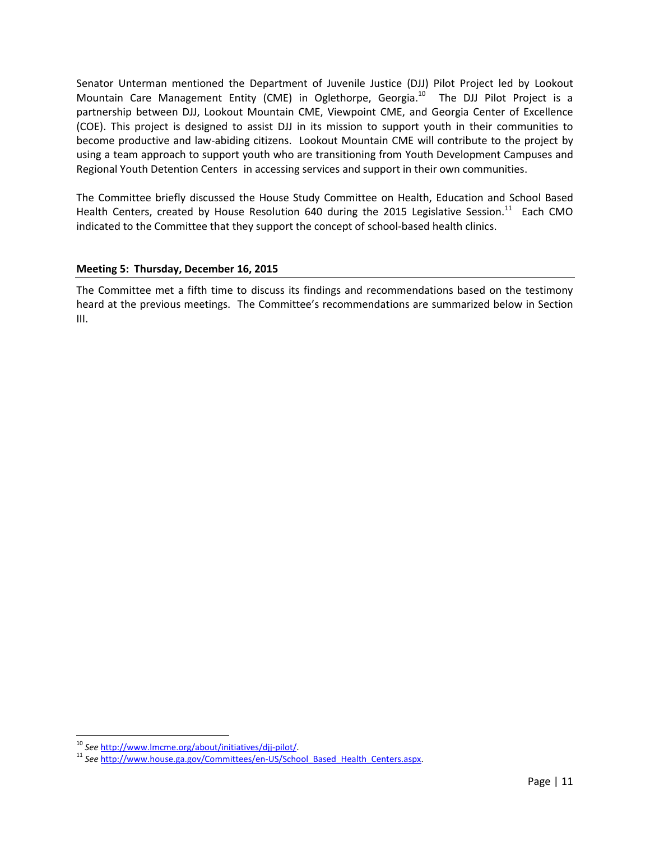Senator Unterman mentioned the Department of Juvenile Justice (DJJ) Pilot Project led by Lookout Mountain Care Management Entity (CME) in Oglethorpe, Georgia.<sup>10</sup> The DJJ Pilot Project is a partnership between DJJ, Lookout Mountain CME, Viewpoint CME, and Georgia Center of Excellence (COE). This project is designed to assist DJJ in its mission to support youth in their communities to become productive and law-abiding citizens. Lookout Mountain CME will contribute to the project by using a team approach to support youth who are transitioning from Youth Development Campuses and Regional Youth Detention Centers in accessing services and support in their own communities.

The Committee briefly discussed the House Study Committee on Health, Education and School Based Health Centers, created by House Resolution 640 during the 2015 Legislative Session.<sup>11</sup> Each CMO indicated to the Committee that they support the concept of school-based health clinics.

## **Meeting 5: Thursday, December 16, 2015**

The Committee met a fifth time to discuss its findings and recommendations based on the testimony heard at the previous meetings. The Committee's recommendations are summarized below in Section III.

 $\overline{\phantom{a}}$ 

<sup>10</sup> *See* [http://www.lmcme.org/about/initiatives/djj-pilot/.](http://www.lmcme.org/about/initiatives/djj-pilot/)

<sup>&</sup>lt;sup>11</sup> See [http://www.house.ga.gov/Committees/en-US/School\\_Based\\_Health\\_Centers.aspx.](http://www.house.ga.gov/Committees/en-US/School_Based_Health_Centers.aspx)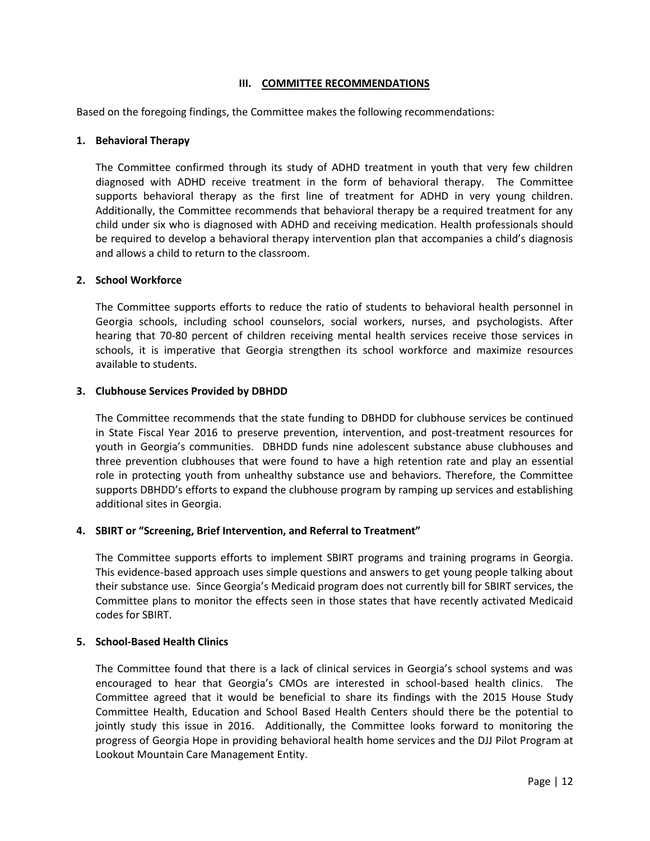## **III. COMMITTEE RECOMMENDATIONS**

Based on the foregoing findings, the Committee makes the following recommendations:

### **1. Behavioral Therapy**

The Committee confirmed through its study of ADHD treatment in youth that very few children diagnosed with ADHD receive treatment in the form of behavioral therapy. The Committee supports behavioral therapy as the first line of treatment for ADHD in very young children. Additionally, the Committee recommends that behavioral therapy be a required treatment for any child under six who is diagnosed with ADHD and receiving medication. Health professionals should be required to develop a behavioral therapy intervention plan that accompanies a child's diagnosis and allows a child to return to the classroom.

## **2. School Workforce**

The Committee supports efforts to reduce the ratio of students to behavioral health personnel in Georgia schools, including school counselors, social workers, nurses, and psychologists. After hearing that 70-80 percent of children receiving mental health services receive those services in schools, it is imperative that Georgia strengthen its school workforce and maximize resources available to students.

## **3. Clubhouse Services Provided by DBHDD**

The Committee recommends that the state funding to DBHDD for clubhouse services be continued in State Fiscal Year 2016 to preserve prevention, intervention, and post-treatment resources for youth in Georgia's communities. DBHDD funds nine adolescent substance abuse clubhouses and three prevention clubhouses that were found to have a high retention rate and play an essential role in protecting youth from unhealthy substance use and behaviors. Therefore, the Committee supports DBHDD's efforts to expand the clubhouse program by ramping up services and establishing additional sites in Georgia.

#### **4. SBIRT or "Screening, Brief Intervention, and Referral to Treatment"**

The Committee supports efforts to implement SBIRT programs and training programs in Georgia. This evidence-based approach uses simple questions and answers to get young people talking about their substance use. Since Georgia's Medicaid program does not currently bill for SBIRT services, the Committee plans to monitor the effects seen in those states that have recently activated Medicaid codes for SBIRT.

#### **5. School-Based Health Clinics**

The Committee found that there is a lack of clinical services in Georgia's school systems and was encouraged to hear that Georgia's CMOs are interested in school-based health clinics. The Committee agreed that it would be beneficial to share its findings with the 2015 House Study Committee Health, Education and School Based Health Centers should there be the potential to jointly study this issue in 2016. Additionally, the Committee looks forward to monitoring the progress of Georgia Hope in providing behavioral health home services and the DJJ Pilot Program at Lookout Mountain Care Management Entity.